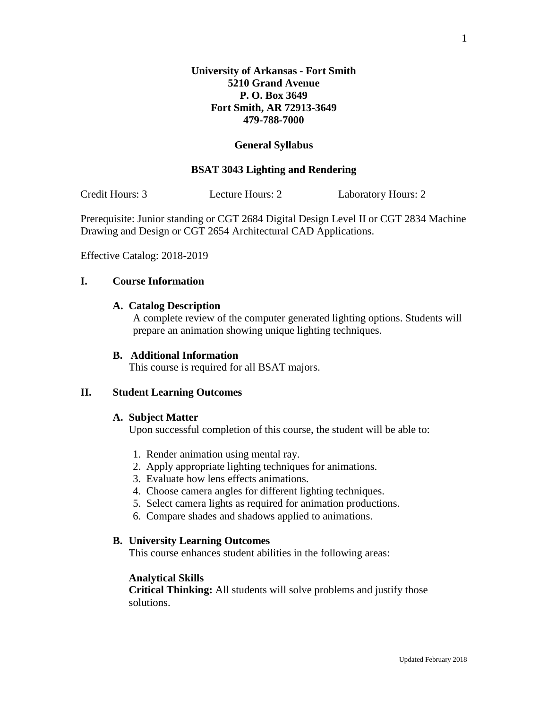# **General Syllabus**

# **BSAT 3043 Lighting and Rendering**

Credit Hours: 3 Lecture Hours: 2 Laboratory Hours: 2

Prerequisite: Junior standing or CGT 2684 Digital Design Level II or CGT 2834 Machine Drawing and Design or CGT 2654 Architectural CAD Applications.

Effective Catalog: 2018-2019

# **I. Course Information**

### **A. Catalog Description**

A complete review of the computer generated lighting options. Students will prepare an animation showing unique lighting techniques.

#### **B. Additional Information**

This course is required for all BSAT majors.

#### **II. Student Learning Outcomes**

#### **A. Subject Matter**

Upon successful completion of this course, the student will be able to:

- 1. Render animation using mental ray.
- 2. Apply appropriate lighting techniques for animations.
- 3. Evaluate how lens effects animations.
- 4. Choose camera angles for different lighting techniques.
- 5. Select camera lights as required for animation productions.
- 6. Compare shades and shadows applied to animations.

# **B. University Learning Outcomes**

This course enhances student abilities in the following areas:

#### **Analytical Skills**

**Critical Thinking:** All students will solve problems and justify those solutions.